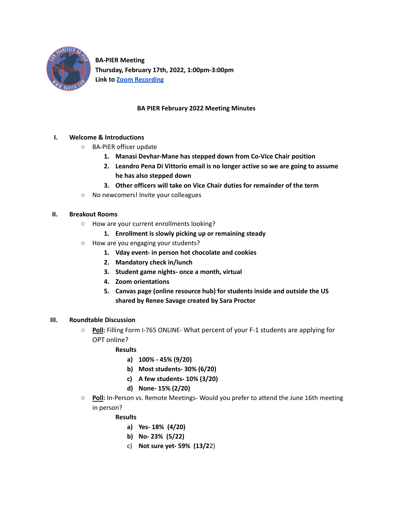

**BA-PIER Meeting Thursday, February 17th, 2022, 1:00pm-3:00pm Link to Zoom [Recording](https://santarosa-edu.zoom.us/rec/play/0tCXoGiaBrMuEFAaNIqYUiHNd14BBGRVKtzDU-50FdXVPJcYah5R6ofWmlsJj_QlMfUeo2dLsSxh1tJp.CmQEsrFSMXnD8GBa?autoplay=true)**

## **BA PIER February 2022 Meeting Minutes**

## **I. Welcome & Introductions**

- BA-PIER officer update
	- **1. Manasi Devhar-Mane has stepped down from Co-Vice Chair position**
	- **2. Leandro Pena Di Vittorio email is no longer active so we are going to assume he has also stepped down**
	- **3. Other officers will take on Vice Chair duties for remainder of the term**
- No newcomers! Invite your colleagues

#### **II. Breakout Rooms**

- How are your current enrollments looking?
	- **1. Enrollment is slowly picking up or remaining steady**
- How are you engaging your students?
	- **1. Vday event- in person hot chocolate and cookies**
	- **2. Mandatory check in/lunch**
	- **3. Student game nights- once a month, virtual**
	- **4. Zoom orientations**
	- **5. Canvas page (online resource hub) for students inside and outside the US shared by Renee Savage created by Sara Proctor**

#### **III. Roundtable Discussion**

○ **Poll:** Filling Form I-765 ONLINE- What percent of your F-1 students are applying for OPT online?

#### **Results**

- **a) 100% - 45% (9/20)**
- **b) Most students- 30% (6/20)**
- **c) A few students- 10% (3/20)**
- **d) None- 15% (2/20)**
- **Poll:** In-Person vs. Remote Meetings- Would you prefer to attend the June 16th meeting in person?

#### **Results**

- **a) Yes- 18% (4/20)**
- **b) No- 23% (5/22)**
- c) **Not sure yet- 59% (13/2**2)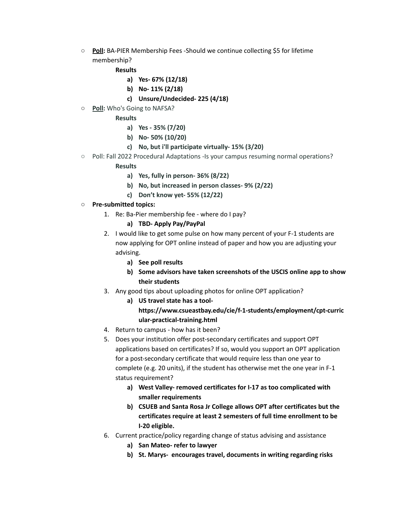○ **Poll:** BA-PIER Membership Fees -Should we continue collecting \$5 for lifetime membership?

#### **Results**

- **a) Yes- 67% (12/18)**
- **b) No- 11% (2/18)**
- **c) Unsure/Undecided- 225 (4/18)**
- **Poll:** Who's Going to NAFSA?

## **Results**

- **a) Yes - 35% (7/20)**
- **b) No- 50% (10/20)**
- **c) No, but i'll participate virtually- 15% (3/20)**
- Poll: Fall 2022 Procedural Adaptations -Is your campus resuming normal operations?

## **Results**

- **a) Yes, fully in person- 36% (8/22)**
- **b) No, but increased in person classes- 9% (2/22)**
- **c) Don't know yet- 55% (12/22)**

## **○ Pre-submitted topics:**

- 1. Re: Ba-Pier membership fee where do I pay?
	- **a) TBD- Apply Pay/PayPal**
- 2. I would like to get some pulse on how many percent of your F-1 students are now applying for OPT online instead of paper and how you are adjusting your advising.
	- **a) See poll results**
	- **b) Some advisors have taken screenshots of the USCIS online app to show their students**
- 3. Any good tips about uploading photos for online OPT application?
	- **a) US travel state has a toolhttps://www.csueastbay.edu/cie/f-1-students/employment/cpt-curric ular-practical-training.html**
- 4. Return to campus how has it been?
- 5. Does your institution offer post-secondary certificates and support OPT applications based on certificates? If so, would you support an OPT application for a post-secondary certificate that would require less than one year to complete (e.g. 20 units), if the student has otherwise met the one year in F-1 status requirement?
	- **a) West Valley- removed certificates for I-17 as too complicated with smaller requirements**
	- **b) CSUEB and Santa Rosa Jr College allows OPT after certificates but the certificates require at least 2 semesters of full time enrollment to be I-20 eligible.**
- 6. Current practice/policy regarding change of status advising and assistance
	- **a) San Mateo- refer to lawyer**
	- **b) St. Marys- encourages travel, documents in writing regarding risks**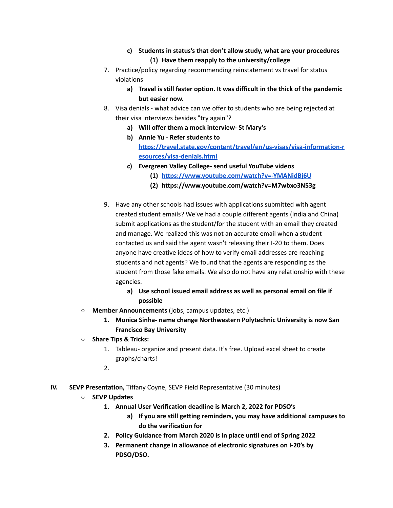- **c) Students in status's that don't allow study, what are your procedures (1) Have them reapply to the university/college**
- 7. Practice/policy regarding recommending reinstatement vs travel for status violations
	- **a) Travel is still faster option. It was difficult in the thick of the pandemic but easier now.**
- 8. Visa denials what advice can we offer to students who are being rejected at their visa interviews besides "try again"?
	- **a) Will offer them a mock interview- St Mary's**
	- **b) Annie Yu - Refer students to [https://travel.state.gov/content/travel/en/us-visas/visa-information-r](https://travel.state.gov/content/travel/en/us-visas/visa-information-resources/visa-denials.html) [esources/visa-denials.html](https://travel.state.gov/content/travel/en/us-visas/visa-information-resources/visa-denials.html)**
	- **c) Evergreen Valley College- send useful YouTube videos**
		- **(1) <https://www.youtube.com/watch?v=-YMANidBj6U>**
		- **(2) https://www.youtube.com/watch?v=M7wbxo3N53g**
- 9. Have any other schools had issues with applications submitted with agent created student emails? We've had a couple different agents (India and China) submit applications as the student/for the student with an email they created and manage. We realized this was not an accurate email when a student contacted us and said the agent wasn't releasing their I-20 to them. Does anyone have creative ideas of how to verify email addresses are reaching students and not agents? We found that the agents are responding as the student from those fake emails. We also do not have any relationship with these agencies.
	- **a) Use school issued email address as well as personal email on file if possible**
- **Member Announcements** (jobs, campus updates, etc.)
	- **1. Monica Sinha- name change Northwestern Polytechnic University is now San Francisco Bay University**
- **○ Share Tips & Tricks:**
	- 1. Tableau- organize and present data. It's free. Upload excel sheet to create graphs/charts!
	- 2.
- **IV. SEVP Presentation,** Tiffany Coyne, SEVP Field Representative (30 minutes)
	- **○ SEVP Updates**
		- **1. Annual User Verification deadline is March 2, 2022 for PDSO's**
			- **a) If you are still getting reminders, you may have additional campuses to do the verification for**
		- **2. Policy Guidance from March 2020 is in place until end of Spring 2022**
		- **3. Permanent change in allowance of electronic signatures on I-20's by PDSO/DSO.**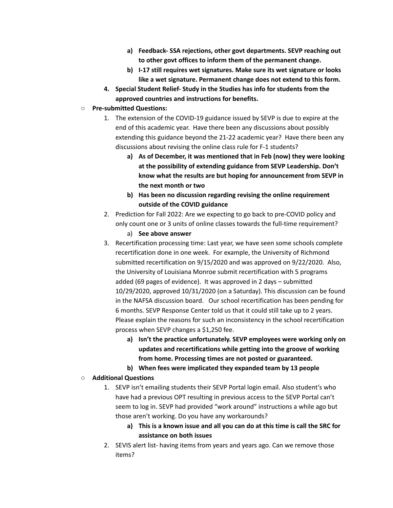- **a) Feedback- SSA rejections, other govt departments. SEVP reaching out to other govt offices to inform them of the permanent change.**
- **b) I-17 still requires wet signatures. Make sure its wet signature or looks like a wet signature. Permanent change does not extend to this form.**
- **4. Special Student Relief- Study in the Studies has info for students from the approved countries and instructions for benefits.**

# **○ Pre-submitted Questions:**

- 1. The extension of the COVID-19 guidance issued by SEVP is due to expire at the end of this academic year. Have there been any discussions about possibly extending this guidance beyond the 21-22 academic year? Have there been any discussions about revising the online class rule for F-1 students?
	- **a) As of December, it was mentioned that in Feb (now) they were looking at the possibility of extending guidance from SEVP Leadership. Don't know what the results are but hoping for announcement from SEVP in the next month or two**
	- **b) Has been no discussion regarding revising the online requirement outside of the COVID guidance**
- 2. Prediction for Fall 2022: Are we expecting to go back to pre-COVID policy and only count one or 3 units of online classes towards the full-time requirement?
	- a) **See above answer**
- 3. Recertification processing time: Last year, we have seen some schools complete recertification done in one week. For example, the University of Richmond submitted recertification on 9/15/2020 and was approved on 9/22/2020. Also, the University of Louisiana Monroe submit recertification with 5 programs added (69 pages of evidence). It was approved in 2 days – submitted 10/29/2020, approved 10/31/2020 (on a Saturday). This discussion can be found in the NAFSA discussion board. Our school recertification has been pending for 6 months. SEVP Response Center told us that it could still take up to 2 years. Please explain the reasons for such an inconsistency in the school recertification process when SEVP changes a \$1,250 fee.
	- **a) Isn't the practice unfortunately. SEVP employees were working only on updates and recertifications while getting into the groove of working from home. Processing times are not posted or guaranteed.**
	- **b) When fees were implicated they expanded team by 13 people**

# **○ Additional Questions**

- 1. SEVP isn't emailing students their SEVP Portal login email. Also student's who have had a previous OPT resulting in previous access to the SEVP Portal can't seem to log in. SEVP had provided "work around" instructions a while ago but those aren't working. Do you have any workarounds?
	- **a) This is a known issue and all you can do at this time is call the SRC for assistance on both issues**
- 2. SEVIS alert list- having items from years and years ago. Can we remove those items?